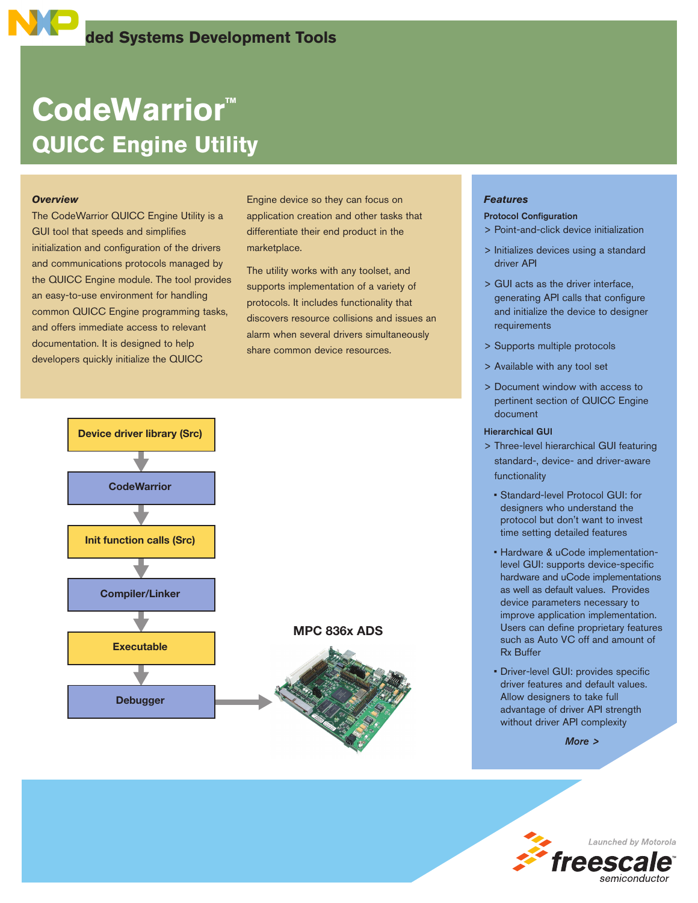# **CodeWarrior™ QUICC Engine Utility**

### *Overview*

The CodeWarrior QUICC Engine Utility is a GUI tool that speeds and simplifies initialization and configuration of the drivers and communications protocols managed by the QUICC Engine module. The tool provides an easy-to-use environment for handling common QUICC Engine programming tasks, and offers immediate access to relevant documentation. It is designed to help developers quickly initialize the QUICC

Engine device so they can focus on application creation and other tasks that differentiate their end product in the marketplace.

The utility works with any toolset, and supports implementation of a variety of protocols. It includes functionality that discovers resource collisions and issues an alarm when several drivers simultaneously share common device resources.



# *Features*

#### Protocol Configuration

- > Point-and-click device initialization
- > Initializes devices using a standard driver API
- > GUI acts as the driver interface, generating API calls that configure and initialize the device to designer requirements
- > Supports multiple protocols
- > Available with any tool set
- > Document window with access to pertinent section of QUICC Engine document

#### Hierarchical GUI

- > Three-level hierarchical GUI featuring standard-, device- and driver-aware functionality
	- Standard-level Protocol GUI: for designers who understand the protocol but don't want to invest time setting detailed features
	- Hardware & uCode implementationlevel GUI: supports device-specific hardware and uCode implementations as well as default values. Provides device parameters necessary to improve application implementation. Users can define proprietary features such as Auto VC off and amount of Rx Buffer
	- Driver-level GUI: provides specific driver features and default values. Allow designers to take full advantage of driver API strength without driver API complexity

*More >*